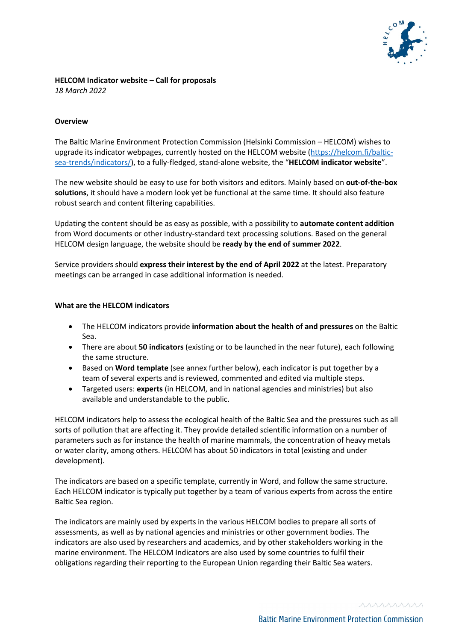

#### **HELCOM Indicator website – Call for proposals** *18 March 2022*

### **Overview**

The Baltic Marine Environment Protection Commission (Helsinki Commission – HELCOM) wishes to upgrade its indicator webpages, currently hosted on the HELCOM website (https://helcom.fi/balticsea-trends/indicators/), to a fully-fledged, stand-alone website, the "**HELCOM indicator website**".

The new website should be easy to use for both visitors and editors. Mainly based on **out-of-the-box solutions**, it should have a modern look yet be functional at the same time. It should also feature robust search and content filtering capabilities.

Updating the content should be as easy as possible, with a possibility to **automate content addition** from Word documents or other industry-standard text processing solutions. Based on the general HELCOM design language, the website should be **ready by the end of summer 2022**.

Service providers should **express their interest by the end of April 2022** at the latest. Preparatory meetings can be arranged in case additional information is needed.

### **What are the HELCOM indicators**

- The HELCOM indicators provide **information about the health of and pressures** on the Baltic Sea.
- There are about **50 indicators** (existing or to be launched in the near future), each following the same structure.
- Based on **Word template** (see annex further below), each indicator is put together by a team of several experts and is reviewed, commented and edited via multiple steps.
- Targeted users: **experts** (in HELCOM, and in national agencies and ministries) but also available and understandable to the public.

HELCOM indicators help to assess the ecological health of the Baltic Sea and the pressures such as all sorts of pollution that are affecting it. They provide detailed scientific information on a number of parameters such as for instance the health of marine mammals, the concentration of heavy metals or water clarity, among others. HELCOM has about 50 indicators in total (existing and under development).

The indicators are based on a specific template, currently in Word, and follow the same structure. Each HELCOM indicator is typically put together by a team of various experts from across the entire Baltic Sea region.

The indicators are mainly used by experts in the various HELCOM bodies to prepare all sorts of assessments, as well as by national agencies and ministries or other government bodies. The indicators are also used by researchers and academics, and by other stakeholders working in the marine environment. The HELCOM Indicators are also used by some countries to fulfil their obligations regarding their reporting to the European Union regarding their Baltic Sea waters.

mmmn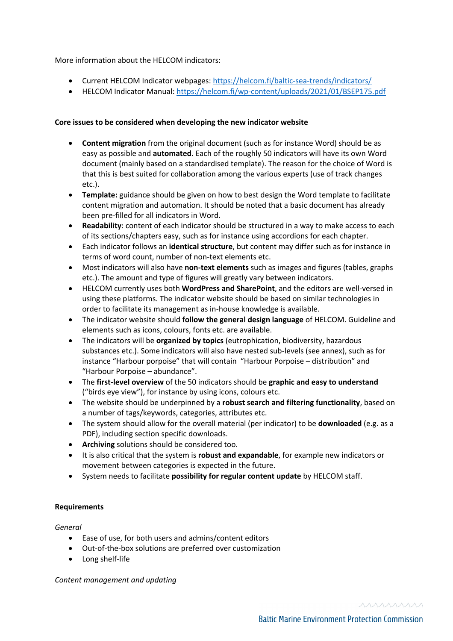# More information about the HELCOM indicators:

- Current HELCOM Indicator webpages: https://helcom.fi/baltic-sea-trends/indicators/
- HELCOM Indicator Manual: https://helcom.fi/wp-content/uploads/2021/01/BSEP175.pdf

## **Core issues to be considered when developing the new indicator website**

- **Content migration** from the original document (such as for instance Word) should be as easy as possible and **automated**. Each of the roughly 50 indicators will have its own Word document (mainly based on a standardised template). The reason for the choice of Word is that this is best suited for collaboration among the various experts (use of track changes etc.).
- **Template:** guidance should be given on how to best design the Word template to facilitate content migration and automation. It should be noted that a basic document has already been pre-filled for all indicators in Word.
- **Readability**: content of each indicator should be structured in a way to make access to each of its sections/chapters easy, such as for instance using accordions for each chapter.
- Each indicator follows an **identical structure**, but content may differ such as for instance in terms of word count, number of non-text elements etc.
- Most indicators will also have **non-text elements** such as images and figures (tables, graphs etc.). The amount and type of figures will greatly vary between indicators.
- HELCOM currently uses both **WordPress and SharePoint**, and the editors are well-versed in using these platforms. The indicator website should be based on similar technologies in order to facilitate its management as in-house knowledge is available.
- The indicator website should **follow the general design language** of HELCOM. Guideline and elements such as icons, colours, fonts etc. are available.
- The indicators will be **organized by topics** (eutrophication, biodiversity, hazardous substances etc.). Some indicators will also have nested sub-levels (see annex), such as for instance "Harbour porpoise" that will contain "Harbour Porpoise – distribution" and "Harbour Porpoise – abundance".
- The **first-level overview** of the 50 indicators should be **graphic and easy to understand** ("birds eye view"), for instance by using icons, colours etc.
- The website should be underpinned by a **robust search and filtering functionality**, based on a number of tags/keywords, categories, attributes etc.
- The system should allow for the overall material (per indicator) to be **downloaded** (e.g. as a PDF), including section specific downloads.
- **Archiving** solutions should be considered too.
- It is also critical that the system is **robust and expandable**, for example new indicators or movement between categories is expected in the future.
- System needs to facilitate **possibility for regular content update** by HELCOM staff.

# **Requirements**

### *General*

- Ease of use, for both users and admins/content editors
- Out-of-the-box solutions are preferred over customization
- Long shelf-life

*Content management and updating*

mmmn